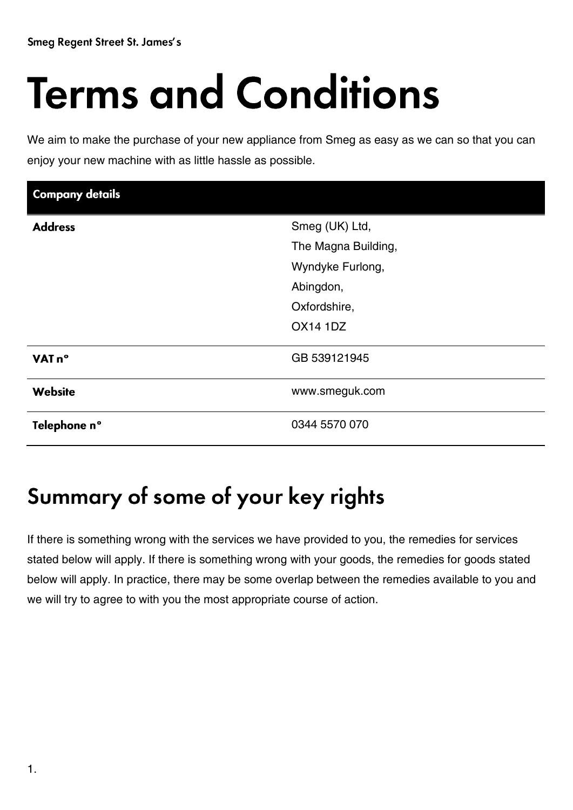# **Terms and Conditions**

We aim to make the purchase of your new appliance from Smeg as easy as we can so that you can enjoy your new machine with as little hassle as possible.

| <b>Company details</b> |                     |
|------------------------|---------------------|
| <b>Address</b>         | Smeg (UK) Ltd,      |
|                        | The Magna Building, |
|                        | Wyndyke Furlong,    |
|                        | Abingdon,           |
|                        | Oxfordshire,        |
|                        | <b>OX14 1DZ</b>     |
| VAT n°                 | GB 539121945        |
| <b>Website</b>         | www.smeguk.com      |
| Telephone n°           | 0344 5570 070       |

## Summary of some of your key rights

If there is something wrong with the services we have provided to you, the remedies for services stated below will apply. If there is something wrong with your goods, the remedies for goods stated below will apply. In practice, there may be some overlap between the remedies available to you and we will try to agree to with you the most appropriate course of action.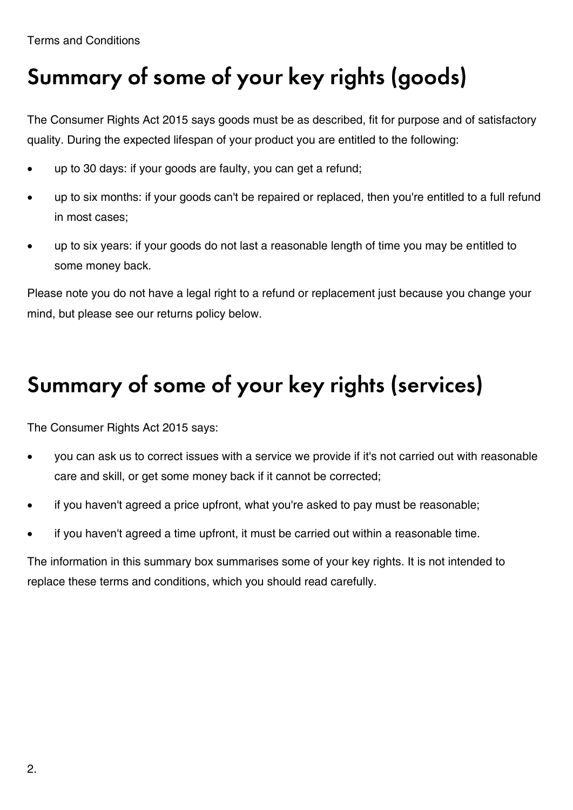# Summary of some of your key rights (goods)

The Consumer Rights Act 2015 says goods must be as described, fit for purpose and of satisfactory quality. During the expected lifespan of your product you are entitled to the following:

- up to 30 days: if your goods are faulty, you can get a refund;
- up to six months: if your goods can't be repaired or replaced, then you're entitled to a full refund in most cases;
- up to six years: if your goods do not last a reasonable length of time you may be entitled to some money back.

Please note you do not have a legal right to a refund or replacement just because you change your mind, but please see our returns policy below.

# Summary of some of your key rights (services)

The Consumer Rights Act 2015 says:

- you can ask us to correct issues with a service we provide if it's not carried out with reasonable care and skill, or get some money back if it cannot be corrected;
- if you haven't agreed a price upfront, what you're asked to pay must be reasonable;
- if you haven't agreed a time upfront, it must be carried out within a reasonable time.

The information in this summary box summarises some of your key rights. It is not intended to replace these terms and conditions, which you should read carefully.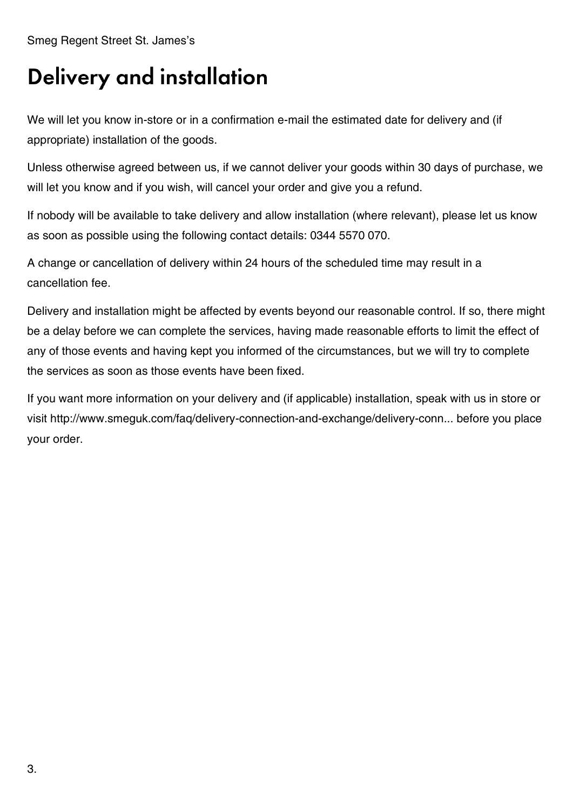Smeg Regent Street St. James's

#### **Delivery and installation**

We will let you know in-store or in a confirmation e-mail the estimated date for delivery and (if appropriate) installation of the goods.

Unless otherwise agreed between us, if we cannot deliver your goods within 30 days of purchase, we will let you know and if you wish, will cancel your order and give you a refund.

If nobody will be available to take delivery and allow installation (where relevant), please let us know as soon as possible using the following contact details: 0344 5570 070.

A change or cancellation of delivery within 24 hours of the scheduled time may result in a cancellation fee.

Delivery and installation might be affected by events beyond our reasonable control. If so, there might be a delay before we can complete the services, having made reasonable efforts to limit the effect of any of those events and having kept you informed of the circumstances, but we will try to complete the services as soon as those events have been fixed.

If you want more information on your delivery and (if applicable) installation, speak with us in store or visit http://www.smeguk.com/faq/delivery-connection-and-exchange/delivery-conn... before you place your order.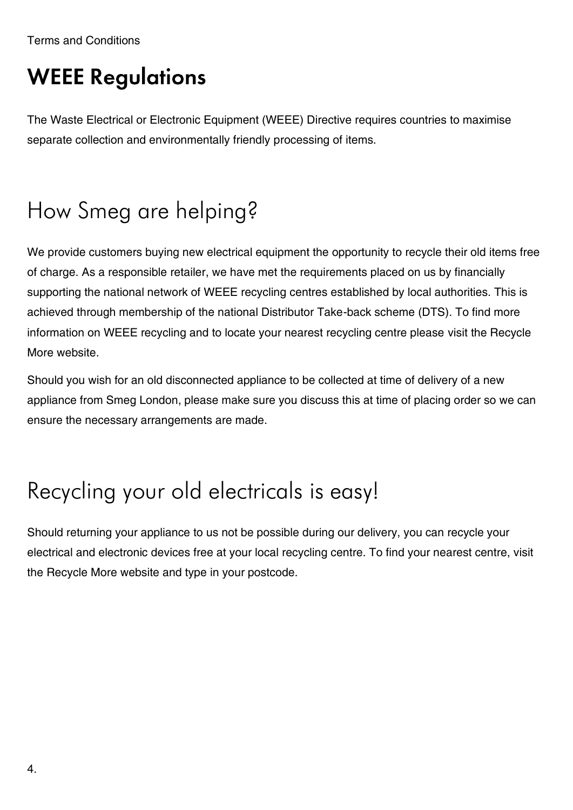Terms and Conditions

#### **WEEE Regulations**

The Waste Electrical or Electronic Equipment (WEEE) Directive requires countries to maximise separate collection and environmentally friendly processing of items.

# How Smeg are helping?

We provide customers buying new electrical equipment the opportunity to recycle their old items free of charge. As a responsible retailer, we have met the requirements placed on us by financially supporting the national network of WEEE recycling centres established by local authorities. This is achieved through membership of the national Distributor Take-back scheme (DTS). To find more information on WEEE recycling and to locate your nearest recycling centre please visit the Recycle More website.

Should you wish for an old disconnected appliance to be collected at time of delivery of a new appliance from Smeg London, please make sure you discuss this at time of placing order so we can ensure the necessary arrangements are made.

## Recycling your old electricals is easy!

Should returning your appliance to us not be possible during our delivery, you can recycle your electrical and electronic devices free at your local recycling centre. To find your nearest centre, visit the Recycle More website and type in your postcode.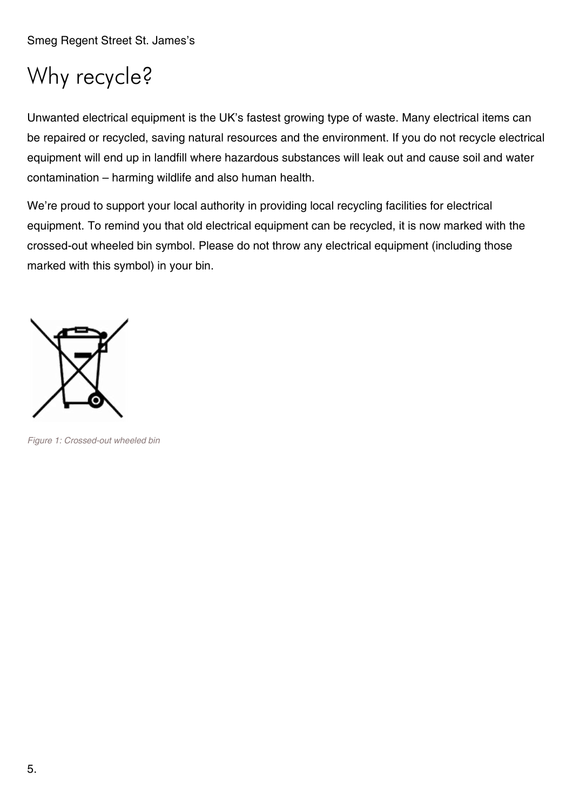# Why recycle?

Unwanted electrical equipment is the UK's fastest growing type of waste. Many electrical items can be repaired or recycled, saving natural resources and the environment. If you do not recycle electrical equipment will end up in landfill where hazardous substances will leak out and cause soil and water contamination – harming wildlife and also human health.

We're proud to support your local authority in providing local recycling facilities for electrical equipment. To remind you that old electrical equipment can be recycled, it is now marked with the crossed-out wheeled bin symbol. Please do not throw any electrical equipment (including those marked with this symbol) in your bin.



*Figure 1: Crossed-out wheeled bin*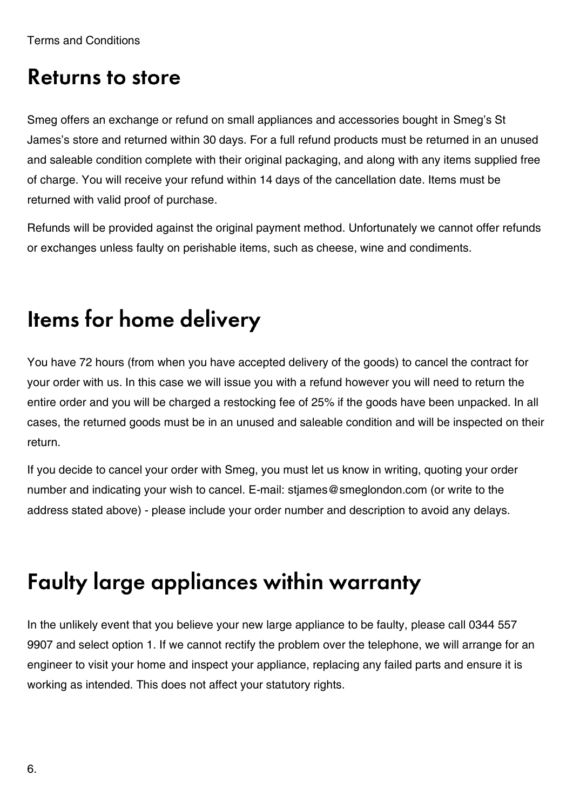#### **Returns to store**

Smeg offers an exchange or refund on small appliances and accessories bought in Smeg's St James's store and returned within 30 days. For a full refund products must be returned in an unused and saleable condition complete with their original packaging, and along with any items supplied free of charge. You will receive your refund within 14 days of the cancellation date. Items must be returned with valid proof of purchase.

Refunds will be provided against the original payment method. Unfortunately we cannot offer refunds or exchanges unless faulty on perishable items, such as cheese, wine and condiments.

## Items for home delivery

You have 72 hours (from when you have accepted delivery of the goods) to cancel the contract for your order with us. In this case we will issue you with a refund however you will need to return the entire order and you will be charged a restocking fee of 25% if the goods have been unpacked. In all cases, the returned goods must be in an unused and saleable condition and will be inspected on their return.

If you decide to cancel your order with Smeg, you must let us know in writing, quoting your order number and indicating your wish to cancel. E-mail: stjames@smeglondon.com (or write to the address stated above) - please include your order number and description to avoid any delays.

## Faulty large appliances within warranty

In the unlikely event that you believe your new large appliance to be faulty, please call 0344 557 9907 and select option 1. If we cannot rectify the problem over the telephone, we will arrange for an engineer to visit your home and inspect your appliance, replacing any failed parts and ensure it is working as intended. This does not affect your statutory rights.